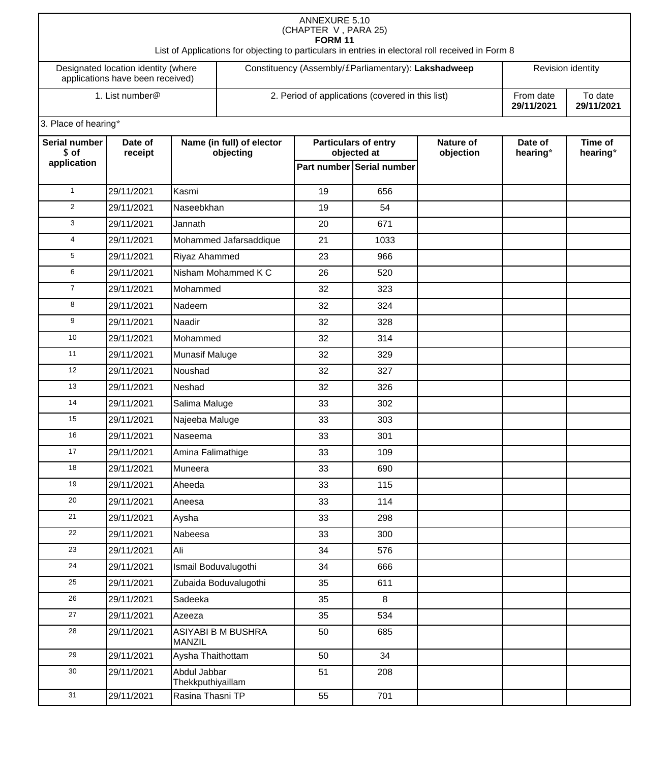| <b>ANNEXURE 5.10</b><br>(CHAPTER V, PARA 25)<br><b>FORM 11</b><br>List of Applications for objecting to particulars in entries in electoral roll received in Form 8 |                  |                                     |                                                  |                                                     |                                          |                               |                       |                     |  |
|---------------------------------------------------------------------------------------------------------------------------------------------------------------------|------------------|-------------------------------------|--------------------------------------------------|-----------------------------------------------------|------------------------------------------|-------------------------------|-----------------------|---------------------|--|
| Designated location identity (where<br>applications have been received)                                                                                             |                  |                                     |                                                  | Constituency (Assembly/£Parliamentary): Lakshadweep |                                          |                               | Revision identity     |                     |  |
| 1. List number@                                                                                                                                                     |                  |                                     | 2. Period of applications (covered in this list) |                                                     |                                          | From date<br>29/11/2021       | To date<br>29/11/2021 |                     |  |
| 3. Place of hearing*                                                                                                                                                |                  |                                     |                                                  |                                                     |                                          |                               |                       |                     |  |
| Serial number<br>Date of                                                                                                                                            |                  | Name (in full) of elector           |                                                  | <b>Particulars of entry</b>                         |                                          | <b>Nature of</b><br>objection | Date of<br>hearing*   | Time of<br>hearing* |  |
| application                                                                                                                                                         | \$ of<br>receipt |                                     | objecting                                        |                                                     | objected at<br>Part number Serial number |                               |                       |                     |  |
|                                                                                                                                                                     |                  |                                     |                                                  |                                                     |                                          |                               |                       |                     |  |
| $\mathbf{1}$                                                                                                                                                        | 29/11/2021       | Kasmi                               |                                                  | 19                                                  | 656                                      |                               |                       |                     |  |
| 2                                                                                                                                                                   | 29/11/2021       | Naseebkhan                          |                                                  | 19                                                  | 54                                       |                               |                       |                     |  |
| 3                                                                                                                                                                   | 29/11/2021       | Jannath                             |                                                  | 20                                                  | 671                                      |                               |                       |                     |  |
| $\overline{4}$                                                                                                                                                      | 29/11/2021       | Mohammed Jafarsaddique              |                                                  | 21                                                  | 1033                                     |                               |                       |                     |  |
| 5                                                                                                                                                                   | 29/11/2021       | Riyaz Ahammed                       |                                                  | 23                                                  | 966                                      |                               |                       |                     |  |
| 6                                                                                                                                                                   | 29/11/2021       | Nisham Mohammed K C                 |                                                  | 26                                                  | 520                                      |                               |                       |                     |  |
| $\overline{7}$                                                                                                                                                      | 29/11/2021       | Mohammed                            |                                                  | 32                                                  | 323                                      |                               |                       |                     |  |
| 8                                                                                                                                                                   | 29/11/2021       | Nadeem                              |                                                  | 32                                                  | 324                                      |                               |                       |                     |  |
| 9                                                                                                                                                                   | 29/11/2021       | Naadir                              |                                                  | 32                                                  | 328                                      |                               |                       |                     |  |
| 10                                                                                                                                                                  | 29/11/2021       | Mohammed                            |                                                  | 32                                                  | 314                                      |                               |                       |                     |  |
| 11                                                                                                                                                                  | 29/11/2021       | <b>Munasif Maluge</b>               |                                                  | 32                                                  | 329                                      |                               |                       |                     |  |
| 12                                                                                                                                                                  | 29/11/2021       | Noushad                             |                                                  | 32                                                  | 327                                      |                               |                       |                     |  |
| 13                                                                                                                                                                  | 29/11/2021       | Neshad                              |                                                  | 32                                                  | 326                                      |                               |                       |                     |  |
| 14                                                                                                                                                                  | 29/11/2021       | Salima Maluge                       |                                                  | 33                                                  | 302                                      |                               |                       |                     |  |
| 15                                                                                                                                                                  | 29/11/2021       | Najeeba Maluge                      |                                                  | 33                                                  | 303                                      |                               |                       |                     |  |
| 16                                                                                                                                                                  | 29/11/2021       | Naseema                             |                                                  | 33                                                  | 301                                      |                               |                       |                     |  |
| 17                                                                                                                                                                  | 29/11/2021       | Amina Falimathige                   |                                                  | 33                                                  | 109                                      |                               |                       |                     |  |
| 18                                                                                                                                                                  | 29/11/2021       | Muneera                             |                                                  | 33                                                  | 690                                      |                               |                       |                     |  |
| 19                                                                                                                                                                  | 29/11/2021       | Aheeda                              |                                                  | 33                                                  | 115                                      |                               |                       |                     |  |
| 20                                                                                                                                                                  | 29/11/2021       | Aneesa                              |                                                  | 33                                                  | 114                                      |                               |                       |                     |  |
| 21                                                                                                                                                                  | 29/11/2021       | Aysha                               |                                                  | 33                                                  | 298                                      |                               |                       |                     |  |
| 22                                                                                                                                                                  | 29/11/2021       | Nabeesa                             |                                                  | 33                                                  | 300                                      |                               |                       |                     |  |
| 23                                                                                                                                                                  | 29/11/2021       | Ali                                 |                                                  | 34                                                  | 576                                      |                               |                       |                     |  |
| 24                                                                                                                                                                  | 29/11/2021       | Ismail Boduvalugothi                |                                                  | 34                                                  | 666                                      |                               |                       |                     |  |
| 25                                                                                                                                                                  | 29/11/2021       | Zubaida Boduvalugothi               |                                                  | 35                                                  | 611                                      |                               |                       |                     |  |
| 26                                                                                                                                                                  | 29/11/2021       | Sadeeka                             |                                                  | 35                                                  | 8                                        |                               |                       |                     |  |
| $27\,$                                                                                                                                                              | 29/11/2021       | Azeeza                              |                                                  | 35                                                  | 534                                      |                               |                       |                     |  |
| 28                                                                                                                                                                  | 29/11/2021       | ASIYABI B M BUSHRA<br><b>MANZIL</b> |                                                  | 50                                                  | 685                                      |                               |                       |                     |  |
| 29                                                                                                                                                                  | 29/11/2021       | Aysha Thaithottam                   |                                                  | 50                                                  | 34                                       |                               |                       |                     |  |
| 30                                                                                                                                                                  | 29/11/2021       | Abdul Jabbar<br>Thekkputhiyaillam   |                                                  | 51                                                  | 208                                      |                               |                       |                     |  |
| 31                                                                                                                                                                  | 29/11/2021       | Rasina Thasni TP                    |                                                  | 55                                                  | 701                                      |                               |                       |                     |  |